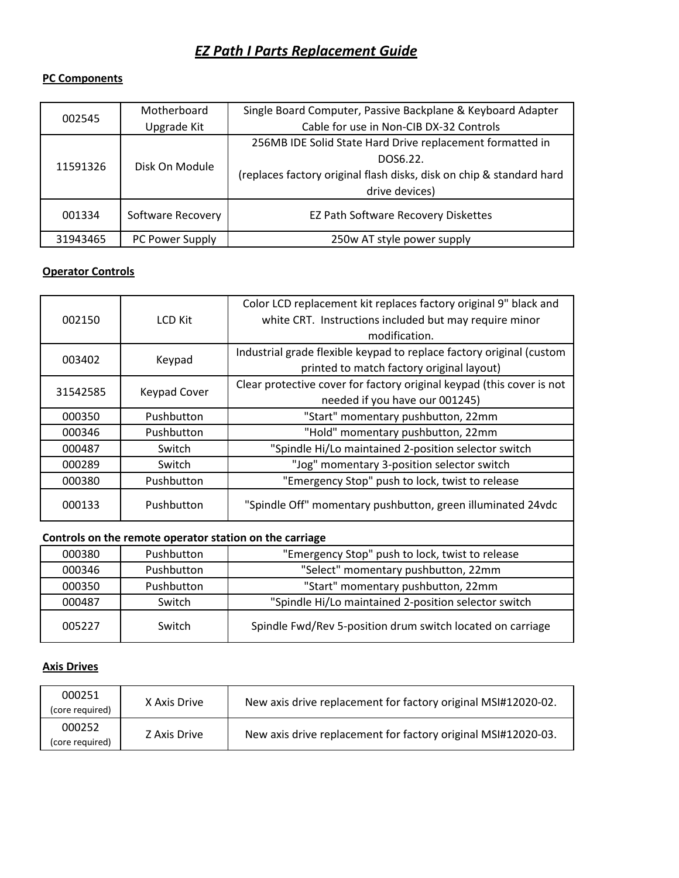# *EZ Path I Parts Replacement Guide*

#### **PC Components**

| 002545   | Motherboard       | Single Board Computer, Passive Backplane & Keyboard Adapter          |
|----------|-------------------|----------------------------------------------------------------------|
|          | Upgrade Kit       | Cable for use in Non-CIB DX-32 Controls                              |
|          |                   | 256MB IDE Solid State Hard Drive replacement formatted in            |
|          | Disk On Module    | DOS6.22.                                                             |
| 11591326 |                   | (replaces factory original flash disks, disk on chip & standard hard |
|          |                   | drive devices)                                                       |
| 001334   | Software Recovery | EZ Path Software Recovery Diskettes                                  |
| 31943465 | PC Power Supply   | 250w AT style power supply                                           |

# **Operator Controls**

|          |                     | Color LCD replacement kit replaces factory original 9" black and      |
|----------|---------------------|-----------------------------------------------------------------------|
| 002150   | <b>LCD Kit</b>      | white CRT. Instructions included but may require minor                |
|          |                     | modification.                                                         |
|          | Keypad              | Industrial grade flexible keypad to replace factory original (custom  |
| 003402   |                     | printed to match factory original layout)                             |
|          | <b>Keypad Cover</b> | Clear protective cover for factory original keypad (this cover is not |
| 31542585 |                     | needed if you have our 001245)                                        |
| 000350   | Pushbutton          | "Start" momentary pushbutton, 22mm                                    |
| 000346   | Pushbutton          | "Hold" momentary pushbutton, 22mm                                     |
| 000487   | Switch              | "Spindle Hi/Lo maintained 2-position selector switch                  |
| 000289   | Switch              | "Jog" momentary 3-position selector switch                            |
| 000380   | Pushbutton          | "Emergency Stop" push to lock, twist to release                       |
| 000133   | Pushbutton          | "Spindle Off" momentary pushbutton, green illuminated 24vdc           |
|          |                     |                                                                       |

# **Controls on the remote operator station on the carriage**

| 000380 | Pushbutton | "Emergency Stop" push to lock, twist to release            |
|--------|------------|------------------------------------------------------------|
| 000346 | Pushbutton | "Select" momentary pushbutton, 22mm                        |
| 000350 | Pushbutton | "Start" momentary pushbutton, 22mm                         |
| 000487 | Switch     | "Spindle Hi/Lo maintained 2-position selector switch       |
| 005227 | Switch     | Spindle Fwd/Rev 5-position drum switch located on carriage |

#### **Axis Drives**

| 000251<br>(core required) | X Axis Drive | New axis drive replacement for factory original MSI#12020-02. |
|---------------------------|--------------|---------------------------------------------------------------|
| 000252<br>(core required) | Z Axis Drive | New axis drive replacement for factory original MSI#12020-03. |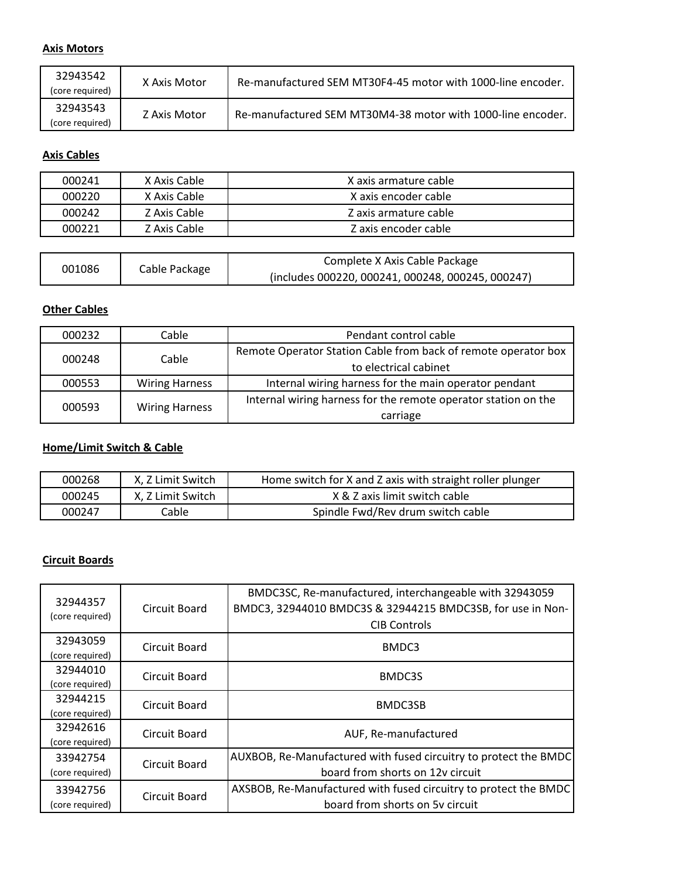## **Axis Motors**

| 32943542<br>(core required) | X Axis Motor | Re-manufactured SEM MT30F4-45 motor with 1000-line encoder. |
|-----------------------------|--------------|-------------------------------------------------------------|
| 32943543<br>(core required) | Z Axis Motor | Re-manufactured SEM MT30M4-38 motor with 1000-line encoder. |

# **Axis Cables**

| 000241 | X Axis Cable | X axis armature cable |
|--------|--------------|-----------------------|
| 000220 | X Axis Cable | X axis encoder cable  |
| 000242 | Z Axis Cable | Z axis armature cable |
| 000221 | Z Axis Cable | Z axis encoder cable  |

|        | Cable Package | Complete X Axis Cable Package                     |
|--------|---------------|---------------------------------------------------|
| 001086 |               | (includes 000220, 000241, 000248, 000245, 000247) |

# **Other Cables**

| 000232 | Cable                 | Pendant control cable                                          |
|--------|-----------------------|----------------------------------------------------------------|
| 000248 | Cable                 | Remote Operator Station Cable from back of remote operator box |
|        |                       | to electrical cabinet                                          |
| 000553 | <b>Wiring Harness</b> | Internal wiring harness for the main operator pendant          |
| 000593 | <b>Wiring Harness</b> | Internal wiring harness for the remote operator station on the |
|        |                       | carriage                                                       |

# **Home/Limit Switch & Cable**

| 000268 | X, Z Limit Switch | Home switch for X and Z axis with straight roller plunger |
|--------|-------------------|-----------------------------------------------------------|
| 000245 | X. Z Limit Switch | X & Z axis limit switch cable                             |
| 000247 | Cable             | Spindle Fwd/Rev drum switch cable                         |

#### **Circuit Boards**

| 32944357<br>(core required) | Circuit Board | BMDC3SC, Re-manufactured, interchangeable with 32943059<br>BMDC3, 32944010 BMDC3S & 32944215 BMDC3SB, for use in Non-<br><b>CIB Controls</b> |
|-----------------------------|---------------|----------------------------------------------------------------------------------------------------------------------------------------------|
| 32943059<br>(core required) | Circuit Board | BMDC3                                                                                                                                        |
| 32944010<br>(core required) | Circuit Board | BMDC3S                                                                                                                                       |
| 32944215<br>(core required) | Circuit Board | BMDC3SB                                                                                                                                      |
| 32942616<br>(core required) | Circuit Board | AUF, Re-manufactured                                                                                                                         |
| 33942754<br>(core required) | Circuit Board | AUXBOB, Re-Manufactured with fused circuitry to protect the BMDC<br>board from shorts on 12y circuit                                         |
| 33942756<br>(core required) | Circuit Board | AXSBOB, Re-Manufactured with fused circuitry to protect the BMDC<br>board from shorts on 5v circuit                                          |